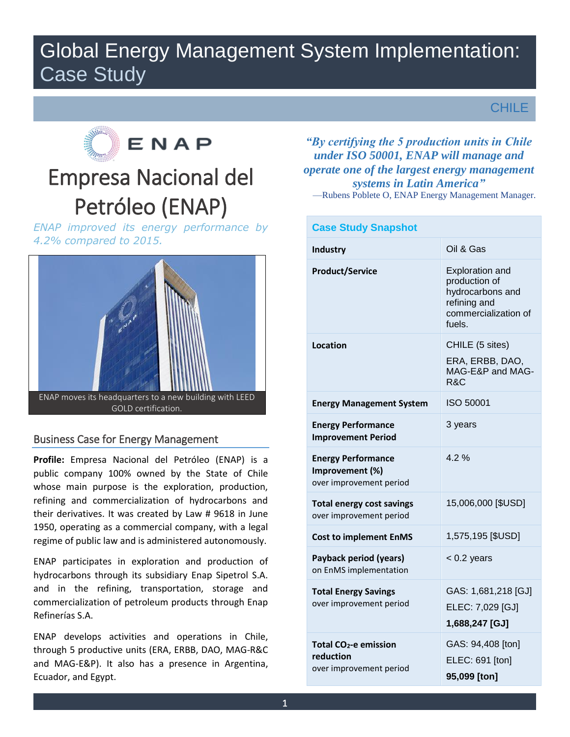# Global Energy Management System Implementation: Case Study

CHILE



# Empresa Nacional del Petróleo (ENAP)

*ENAP improved its energy performance by 4.2% compared to 2015.* 



# Business Case for Energy Management

**Profile:** Empresa Nacional del Petróleo (ENAP) is a public company 100% owned by the State of Chile whose main purpose is the exploration, production, refining and commercialization of hydrocarbons and their derivatives. It was created by Law # 9618 in June 1950, operating as a commercial company, with a legal regime of public law and is administered autonomously.

ENAP participates in exploration and production of hydrocarbons through its subsidiary Enap Sipetrol S.A. and in the refining, transportation, storage and commercialization of petroleum products through Enap Refinerías S.A.

ENAP develops activities and operations in Chile, through 5 productive units (ERA, ERBB, DAO, MAG-R&C and MAG-E&P). It also has a presence in Argentina, Ecuador, and Egypt.

*"By certifying the 5 production units in Chile under ISO 50001, ENAP will manage and operate one of the largest energy management systems in Latin America"*

—Rubens Poblete O, ENAP Energy Management Manager.

| <b>Case Study Snapshot</b>                                                |                                                                                                               |  |  |
|---------------------------------------------------------------------------|---------------------------------------------------------------------------------------------------------------|--|--|
| <b>Industry</b>                                                           | Oil & Gas                                                                                                     |  |  |
| <b>Product/Service</b>                                                    | <b>Exploration and</b><br>production of<br>hydrocarbons and<br>refining and<br>commercialization of<br>fuels. |  |  |
| Location                                                                  | CHILE (5 sites)<br>ERA, ERBB, DAO,<br>MAG-E&P and MAG-<br>R&C                                                 |  |  |
| <b>Energy Management System</b>                                           | ISO 50001                                                                                                     |  |  |
| <b>Energy Performance</b><br><b>Improvement Period</b>                    | 3 years                                                                                                       |  |  |
| <b>Energy Performance</b><br>Improvement (%)<br>over improvement period   | 4.2%                                                                                                          |  |  |
| <b>Total energy cost savings</b><br>over improvement period               | 15,006,000 [\$USD]                                                                                            |  |  |
| <b>Cost to implement EnMS</b>                                             | 1,575,195 [\$USD]                                                                                             |  |  |
| Payback period (years)<br>on EnMS implementation                          | $< 0.2$ years                                                                                                 |  |  |
| <b>Total Energy Savings</b><br>over improvement period                    | GAS: 1,681,218 [GJ]<br>ELEC: 7,029 [GJ]<br>1,688,247 [GJ]                                                     |  |  |
| Total CO <sub>2</sub> -e emission<br>reduction<br>over improvement period | GAS: 94,408 [ton]<br>ELEC: 691 [ton]<br>95,099 [ton]                                                          |  |  |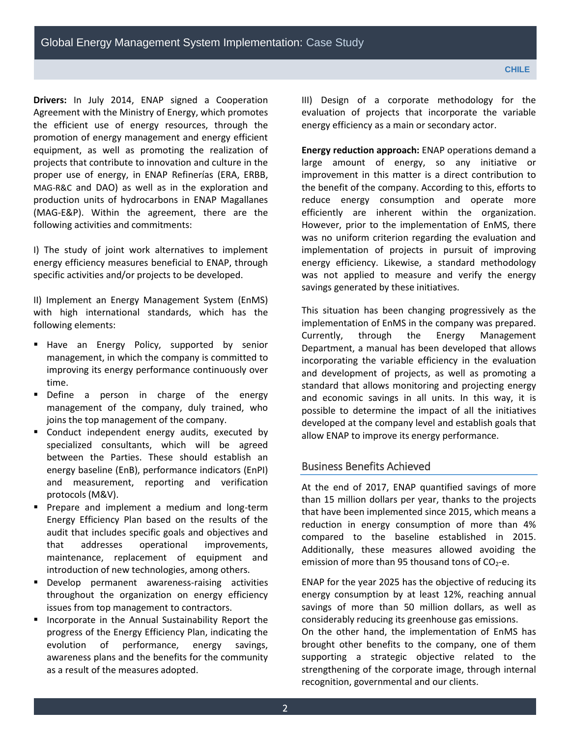**Drivers:** In July 2014, ENAP signed a Cooperation Agreement with the Ministry of Energy, which promotes the efficient use of energy resources, through the promotion of energy management and energy efficient equipment, as well as promoting the realization of projects that contribute to innovation and culture in the proper use of energy, in ENAP Refinerías (ERA, ERBB, MAG-R&C and DAO) as well as in the exploration and production units of hydrocarbons in ENAP Magallanes (MAG-E&P). Within the agreement, there are the following activities and commitments:

I) The study of joint work alternatives to implement energy efficiency measures beneficial to ENAP, through specific activities and/or projects to be developed.

II) Implement an Energy Management System (EnMS) with high international standards, which has the following elements:

- Have an Energy Policy, supported by senior management, in which the company is committed to improving its energy performance continuously over time.
- **Define a person in charge of the energy** management of the company, duly trained, who joins the top management of the company.
- **Conduct independent energy audits, executed by** specialized consultants, which will be agreed between the Parties. These should establish an energy baseline (EnB), performance indicators (EnPI) and measurement, reporting and verification protocols (M&V).
- **Prepare and implement a medium and long-term** Energy Efficiency Plan based on the results of the audit that includes specific goals and objectives and that addresses operational improvements, maintenance, replacement of equipment and introduction of new technologies, among others.
- **Develop permanent awareness-raising activities** throughout the organization on energy efficiency issues from top management to contractors.
- **Incorporate in the Annual Sustainability Report the** progress of the Energy Efficiency Plan, indicating the evolution of performance, energy savings, awareness plans and the benefits for the community as a result of the measures adopted.

III) Design of a corporate methodology for the evaluation of projects that incorporate the variable energy efficiency as a main or secondary actor.

**Energy reduction approach:** ENAP operations demand a large amount of energy, so any initiative or improvement in this matter is a direct contribution to the benefit of the company. According to this, efforts to reduce energy consumption and operate more efficiently are inherent within the organization. However, prior to the implementation of EnMS, there was no uniform criterion regarding the evaluation and implementation of projects in pursuit of improving energy efficiency. Likewise, a standard methodology was not applied to measure and verify the energy savings generated by these initiatives.

This situation has been changing progressively as the implementation of EnMS in the company was prepared. Currently, through the Energy Management Department, a manual has been developed that allows incorporating the variable efficiency in the evaluation and development of projects, as well as promoting a standard that allows monitoring and projecting energy and economic savings in all units. In this way, it is possible to determine the impact of all the initiatives developed at the company level and establish goals that allow ENAP to improve its energy performance.

## Business Benefits Achieved

At the end of 2017, ENAP quantified savings of more than 15 million dollars per year, thanks to the projects that have been implemented since 2015, which means a reduction in energy consumption of more than 4% compared to the baseline established in 2015. Additionally, these measures allowed avoiding the emission of more than 95 thousand tons of  $CO<sub>2</sub>$ -e.

ENAP for the year 2025 has the objective of reducing its energy consumption by at least 12%, reaching annual savings of more than 50 million dollars, as well as considerably reducing its greenhouse gas emissions.

On the other hand, the implementation of EnMS has brought other benefits to the company, one of them supporting a strategic objective related to the strengthening of the corporate image, through internal recognition, governmental and our clients.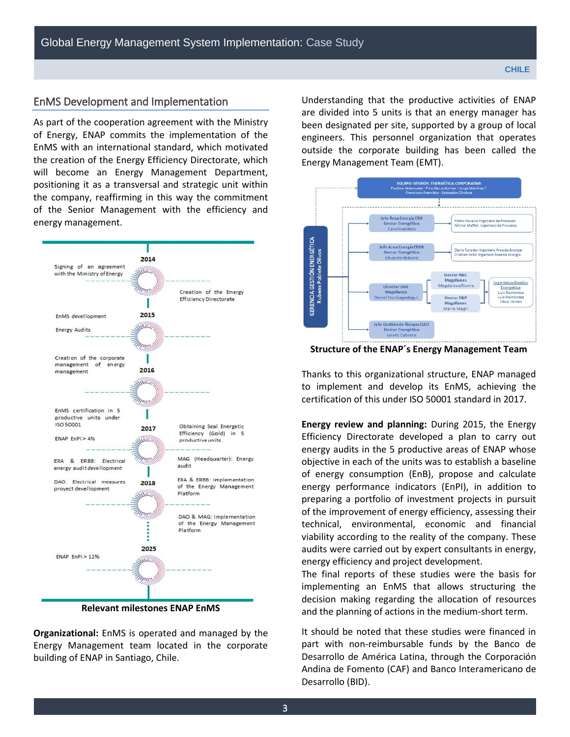# EnMS Development and Implementation

As part of the cooperation agreement with the Ministry of Energy, ENAP commits the implementation of the EnMS with an international standard, which motivated the creation of the Energy Efficiency Directorate, which will become an Energy Management Department, positioning it as a transversal and strategic unit within the company, reaffirming in this way the commitment of the Senior Management with the efficiency and energy management.



**Relevant milestones ENAP EnMS** 

**Organizational:** EnMS is operated and managed by the Energy Management team located in the corporate building of ENAP in Santiago, Chile.

Understanding that the productive activities of ENAP are divided into 5 units is that an energy manager has been designated per site, supported by a group of local engineers. This personnel organization that operates outside the corporate building has been called the Energy Management Team (EMT).



**Structure of the ENAP´s Energy Management Team** 

Thanks to this organizational structure, ENAP managed to implement and develop its EnMS, achieving the certification of this under ISO 50001 standard in 2017.

**Energy review and planning:** During 2015, the Energy Efficiency Directorate developed a plan to carry out energy audits in the 5 productive areas of ENAP whose objective in each of the units was to establish a baseline of energy consumption (EnB), propose and calculate energy performance indicators (EnPI), in addition to preparing a portfolio of investment projects in pursuit of the improvement of energy efficiency, assessing their technical, environmental, economic and financial viability according to the reality of the company. These audits were carried out by expert consultants in energy, energy efficiency and project development.

The final reports of these studies were the basis for implementing an EnMS that allows structuring the decision making regarding the allocation of resources and the planning of actions in the medium-short term.

It should be noted that these studies were financed in part with non-reimbursable funds by the Banco de Desarrollo de América Latina, through the Corporación Andina de Fomento (CAF) and Banco Interamericano de Desarrollo (BID).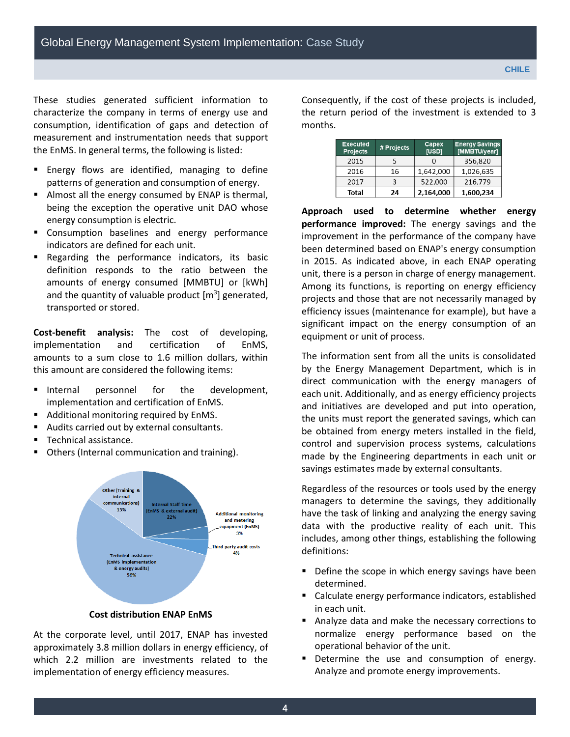These studies generated sufficient information to characterize the company in terms of energy use and consumption, identification of gaps and detection of measurement and instrumentation needs that support the EnMS. In general terms, the following is listed:

- **Energy flows are identified, managing to define** patterns of generation and consumption of energy.
- Almost all the energy consumed by ENAP is thermal, being the exception the operative unit DAO whose energy consumption is electric.
- **EX Consumption baselines and energy performance** indicators are defined for each unit.
- Regarding the performance indicators, its basic definition responds to the ratio between the amounts of energy consumed [MMBTU] or [kWh] and the quantity of valuable product  $[m^3]$  generated, transported or stored.

**Cost-benefit analysis:** The cost of developing, implementation and certification of EnMS, amounts to a sum close to 1.6 million dollars, within this amount are considered the following items:

- Internal personnel for the development, implementation and certification of EnMS.
- Additional monitoring required by EnMS.
- Audits carried out by external consultants.
- **Technical assistance.**
- Others (Internal communication and training).



#### **Cost distribution ENAP EnMS**

At the corporate level, until 2017, ENAP has invested approximately 3.8 million dollars in energy efficiency, of which 2.2 million are investments related to the implementation of energy efficiency measures.

Consequently, if the cost of these projects is included, the return period of the investment is extended to 3 months.

| <b>Executed</b><br><b>Projects</b> | # Projects | Capex<br>[USD] | <b>Energy Savings</b><br>[MMBTU/year] |
|------------------------------------|------------|----------------|---------------------------------------|
| 2015                               | 5          |                | 356,820                               |
| 2016                               | 16         | 1,642,000      | 1,026,635                             |
| 2017                               | 3          | 522.000        | 216,779                               |
| Total                              | 24         | 2,164,000      | 1,600,234                             |

**Approach used to determine whether energy performance improved:** The energy savings and the improvement in the performance of the company have been determined based on ENAP's energy consumption in 2015. As indicated above, in each ENAP operating unit, there is a person in charge of energy management. Among its functions, is reporting on energy efficiency projects and those that are not necessarily managed by efficiency issues (maintenance for example), but have a significant impact on the energy consumption of an equipment or unit of process.

The information sent from all the units is consolidated by the Energy Management Department, which is in direct communication with the energy managers of each unit. Additionally, and as energy efficiency projects and initiatives are developed and put into operation, the units must report the generated savings, which can be obtained from energy meters installed in the field, control and supervision process systems, calculations made by the Engineering departments in each unit or savings estimates made by external consultants.

Regardless of the resources or tools used by the energy managers to determine the savings, they additionally have the task of linking and analyzing the energy saving data with the productive reality of each unit. This includes, among other things, establishing the following definitions:

- **Define the scope in which energy savings have been** determined.
- Calculate energy performance indicators, established in each unit.
- Analyze data and make the necessary corrections to normalize energy performance based on the operational behavior of the unit.
- Determine the use and consumption of energy. Analyze and promote energy improvements.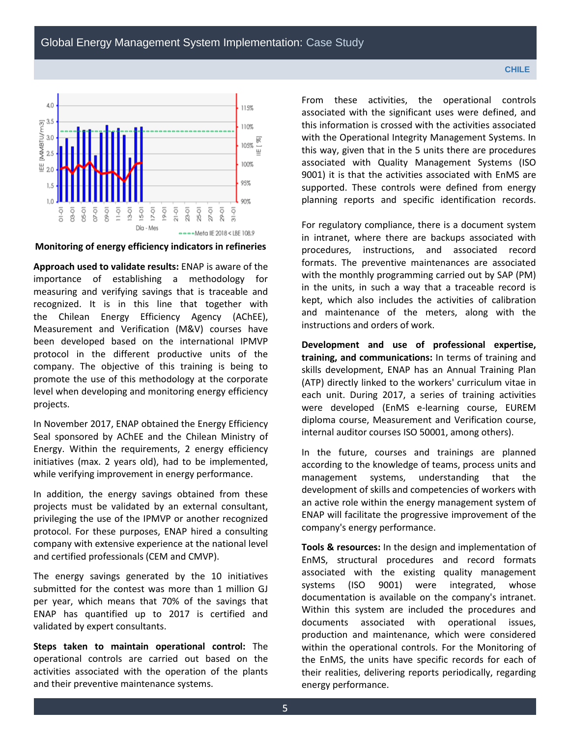

**Monitoring of energy efficiency indicators in refineries**

**Approach used to validate results:** ENAP is aware of the importance of establishing a methodology for measuring and verifying savings that is traceable and recognized. It is in this line that together with the Chilean Energy Efficiency Agency (AChEE), Measurement and Verification (M&V) courses have been developed based on the international IPMVP protocol in the different productive units of the company. The objective of this training is being to promote the use of this methodology at the corporate level when developing and monitoring energy efficiency projects.

In November 2017, ENAP obtained the Energy Efficiency Seal sponsored by AChEE and the Chilean Ministry of Energy. Within the requirements, 2 energy efficiency initiatives (max. 2 years old), had to be implemented, while verifying improvement in energy performance.

In addition, the energy savings obtained from these projects must be validated by an external consultant, privileging the use of the IPMVP or another recognized protocol. For these purposes, ENAP hired a consulting company with extensive experience at the national level and certified professionals (CEM and CMVP).

The energy savings generated by the 10 initiatives submitted for the contest was more than 1 million GJ per year, which means that 70% of the savings that ENAP has quantified up to 2017 is certified and validated by expert consultants.

**Steps taken to maintain operational control:** The operational controls are carried out based on the activities associated with the operation of the plants and their preventive maintenance systems.

From these activities, the operational controls associated with the significant uses were defined, and this information is crossed with the activities associated with the Operational Integrity Management Systems. In this way, given that in the 5 units there are procedures associated with Quality Management Systems (ISO 9001) it is that the activities associated with EnMS are supported. These controls were defined from energy planning reports and specific identification records.

For regulatory compliance, there is a document system in intranet, where there are backups associated with procedures, instructions, and associated record formats. The preventive maintenances are associated with the monthly programming carried out by SAP (PM) in the units, in such a way that a traceable record is kept, which also includes the activities of calibration and maintenance of the meters, along with the instructions and orders of work.

**Development and use of professional expertise, training, and communications:** In terms of training and skills development, ENAP has an Annual Training Plan (ATP) directly linked to the workers' curriculum vitae in each unit. During 2017, a series of training activities were developed (EnMS e-learning course, EUREM diploma course, Measurement and Verification course, internal auditor courses ISO 50001, among others).

In the future, courses and trainings are planned according to the knowledge of teams, process units and management systems, understanding that the development of skills and competencies of workers with an active role within the energy management system of ENAP will facilitate the progressive improvement of the company's energy performance.

**Tools & resources:** In the design and implementation of EnMS, structural procedures and record formats associated with the existing quality management systems (ISO 9001) were integrated, whose documentation is available on the company's intranet. Within this system are included the procedures and documents associated with operational issues, production and maintenance, which were considered within the operational controls. For the Monitoring of the EnMS, the units have specific records for each of their realities, delivering reports periodically, regarding energy performance.